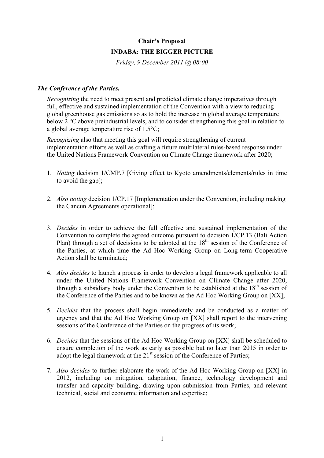## **Chair's Proposal INDABA: THE BIGGER PICTURE**

*Friday, 9 December 2011 @ 08:00* 

## *The Conference of the Parties,*

*Recognizing* the need to meet present and predicted climate change imperatives through full, effective and sustained implementation of the Convention with a view to reducing global greenhouse gas emissions so as to hold the increase in global average temperature below 2 °C above preindustrial levels, and to consider strengthening this goal in relation to a global average temperature rise of 1.5°C;

*Recognizing* also that meeting this goal will require strengthening of current implementation efforts as well as crafting a future multilateral rules-based response under the United Nations Framework Convention on Climate Change framework after 2020;

- 1. *Noting* decision 1/CMP.7 [Giving effect to Kyoto amendments/elements/rules in time to avoid the gap];
- 2. *Also noting* decision 1/CP.17 [Implementation under the Convention, including making the Cancun Agreements operational];
- 3. *Decides* in order to achieve the full effective and sustained implementation of the Convention to complete the agreed outcome pursuant to decision 1/CP.13 (Bali Action Plan) through a set of decisions to be adopted at the  $18<sup>th</sup>$  session of the Conference of the Parties, at which time the Ad Hoc Working Group on Long-term Cooperative Action shall be terminated;
- 4. *Also decides* to launch a process in order to develop a legal framework applicable to all under the United Nations Framework Convention on Climate Change after 2020, through a subsidiary body under the Convention to be established at the  $18<sup>th</sup>$  session of the Conference of the Parties and to be known as the Ad Hoc Working Group on [XX];
- 5. *Decides* that the process shall begin immediately and be conducted as a matter of urgency and that the Ad Hoc Working Group on [XX] shall report to the intervening sessions of the Conference of the Parties on the progress of its work;
- 6. *Decides* that the sessions of the Ad Hoc Working Group on [XX] shall be scheduled to ensure completion of the work as early as possible but no later than 2015 in order to adopt the legal framework at the  $21<sup>st</sup>$  session of the Conference of Parties;
- 7. *Also decides* to further elaborate the work of the Ad Hoc Working Group on [XX] in 2012, including on mitigation, adaptation, finance, technology development and transfer and capacity building, drawing upon submission from Parties, and relevant technical, social and economic information and expertise;